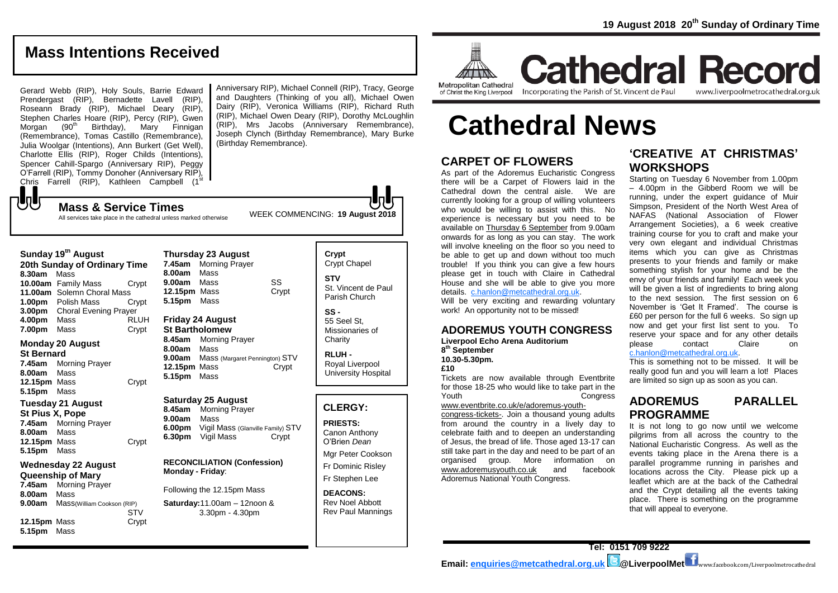## **Mass Intentions Received**

Gerard Webb (RIP), Holy Souls, Barrie Edward Prendergast (RIP), Bernadette Lavell (RIP), Roseann Brady (RIP), Michael Deary (RIP), Stephen Charles Hoare (RIP), Percy (RIP), Gwen Morgan (90<sup>th</sup> Birthday), Mary Finnigan (Remembrance), Tomas Castillo (Remembrance), Julia Woolgar (Intentions), Ann Burkert (Get Well), Charlotte Ellis (RIP), Roger Childs (Intentions), Spencer Cahill-Spargo (Anniversary RIP), Peggy O'Farrell (RIP), Tommy Donoher (Anniversary RIP),<br>Chris Farrell (RIP), Kathleen Campbell (1<sup>st</sup> Anniversary RIP), Michael Connell (RIP), Tracy, George and Daughters (Thinking of you all), Michael Owen Dairy (RIP), Veronica Williams (RIP), Richard Ruth (RIP), Michael Owen Deary (RIP), Dorothy McLoughlin (RIP), Mrs Jacobs (Anniversary Remembrance), Joseph Clynch (Birthday Remembrance), Mary Burke (Birthday Remembrance).

WEEK COMMENCING: **<sup>19</sup> August 2018 Mass & Service Times** All services take place in the cathedral unless marked otherwise

| Sunday 19 <sup>th</sup> August<br>20th Sunday of Ordinary Time |                              |       |
|----------------------------------------------------------------|------------------------------|-------|
| 8.30am                                                         | Mass                         |       |
|                                                                | 10.00am Family Mass          | Crypt |
| 11.00am                                                        | Solemn Choral Mass           |       |
| 1.00 <sub>pm</sub>                                             | Polish Mass                  | Crypt |
| 3.00pm                                                         | <b>Choral Evening Prayer</b> |       |
| 4.00pm                                                         | Mass                         | RLUH  |
| 7.00pm                                                         | Mass                         | Crypt |

### **Monday 20 August**

 ${\bf J}$ 

**St Bernard 7.45am** Morning Prayer **8.00am** Mass **12.15pm** Mass Crypt **5.15pm** Mass

### **Tuesday 21 August**

**St Pius X, Pope 7.45am** Morning Prayer **8.00am** Mass **12.15pm** Mass Crypt **5.15pm** Mass

### **Wednesday 22 August Queenship of Mary**

**7.45am** Morning Prayer **8.00am** Mass **9.00am** Mass(William Cookson (RIP) **STV 12.15pm** Mass Crypt **5.15pm** Mass

**Thursday 23 August 7.45am** Morning Prayer **8.00am** Mass **9.00am** Mass SS **12.15pm** Mass Crypt **5.15pm** Mass

#### **Friday 24 August St Bartholomew**

**8.45am** Morning Prayer **8.00am** Mass **9.00am** Mass (Margaret Pennington) STV<br>**12.15pm** Mass Crypt **12.15pm Mass 5.15pm** Mass

### **Saturday 25 August**

**8.45am** Morning Prayer **9.00am** Mass **6.00pm** Vigil Mass (Glanville Family) STV<br>**6.30pm** Vigil Mass **Crypt 6.30pm** Vigil Mass

### **RECONCILIATION (Confession) Monday - Friday**:

Following the 12.15pm Mass

**Saturday:**11.00am – 12noon & 3.30pm - 4.30pm

### **Crypt**  Crypt Chapel **STV** St. Vincent de Paul Parish Church

**SS -** 55 Seel St, Missionaries of **Charity** 

**RLUH -** Royal Liverpool University Hospital

## **CLERGY:**

**PRIESTS:** Canon Anthony O'Brien *Dean*

Mgr Peter Cookson Fr Dominic Risley

Fr Stephen Lee

### **DEACONS:** Rev Noel Abbott Rev Paul Mannings

and the control of the control of the control of the control of the control of the control of the control of the control of the control of the control of the control of the control of the control of the control of the cont **ALLINA Metropolitan Cathedral** 

of Christ the King Liverpool

Incorporating the Parish of St. Vincent de Paul www.liverpoolmetrocathedral.org.uk

**Cathedral Record** 

# **Cathedral News**

## **CARPET OF FLOWERS**

As part of the Adoremus Eucharistic Congress there will be a Carpet of Flowers laid in the Cathedral down the central aisle. We are currently looking for a group of willing volunteers who would be willing to assist with this. No experience is necessary but you need to be available on Thursday 6 September from 9.00am onwards for as long as you can stay. The work will involve kneeling on the floor so you need to be able to get up and down without too much trouble! If you think you can give a few hours please get in touch with Claire in Cathedral House and she will be able to give you more details. [c.hanlon@metcathedral.org.uk.](mailto:c.hanlon@metcathedral.org.uk)

Will be very exciting and rewarding voluntary work! An opportunity not to be missed!

### **ADOREMUS YOUTH CONGRESS Liverpool Echo Arena Auditorium**

**8 th September**

**10.30-5.30pm.** 

**£10**

Tickets are now available through Eventbrite for those 18-25 who would like to take part in the Youth Congress

[www.eventbrite.co.uk/e/adoremus-youth-](https://liverpoolcatholic.us6.list-manage.com/track/click?u=cd5141bd5911a5777f769fc94&id=078783fe23&e=10a347eb28)

[congress-tickets-.](https://liverpoolcatholic.us6.list-manage.com/track/click?u=cd5141bd5911a5777f769fc94&id=078783fe23&e=10a347eb28) Join a thousand young adults from around the country in a lively day to celebrate faith and to deepen an understanding of Jesus, the bread of life. Those aged 13-17 can still take part in the day and need to be part of an organised group. More information on [www.adoremusyouth.co.uk](https://liverpoolcatholic.us6.list-manage.com/track/click?u=cd5141bd5911a5777f769fc94&id=d9bfb46074&e=10a347eb28) and facebook Adoremus National Youth Congress.

## **'CREATIVE AT CHRISTMAS' WORKSHOPS**

Starting on Tuesday 6 November from 1.00pm – 4.00pm in the Gibberd Room we will be running, under the expert guidance of Muir Simpson, President of the North West Area of NAFAS (National Association of Flower Arrangement Societies), a 6 week creative training course for you to craft and make your very own elegant and individual Christmas items which you can give as Christmas presents to your friends and family or make something stylish for your home and be the envy of your friends and family! Each week you will be given a list of ingredients to bring along to the next session. The first session on 6 November is 'Get It Framed'. The course is £60 per person for the full 6 weeks. So sign up now and get your first list sent to you. To reserve your space and for any other details<br>please contact Claire on please contact Claire on [c.hanlon@metcathedral.org.uk.](mailto:c.hanlon@metcathedral.org.uk)

This is something not to be missed. It will be really good fun and you will learn a lot! Places are limited so sign up as soon as you can.

## **ADOREMUS PARALLEL PROGRAMME**

It is not long to go now until we welcome pilgrims from all across the country to the National Eucharistic Congress. As well as the events taking place in the Arena there is a parallel programme running in parishes and locations across the City. Please pick up a leaflet which are at the back of the Cathedral and the Crypt detailing all the events taking place. There is something on the programme that will appeal to everyone.